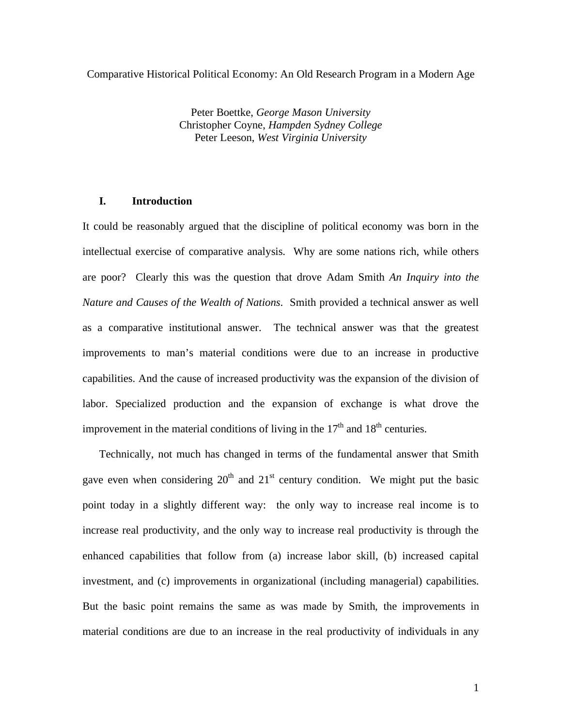Comparative Historical Political Economy: An Old Research Program in a Modern Age

Peter Boettke, *George Mason University* Christopher Coyne, *Hampden Sydney College* Peter Leeson, *West Virginia University*

## **I. Introduction**

It could be reasonably argued that the discipline of political economy was born in the intellectual exercise of comparative analysis. Why are some nations rich, while others are poor? Clearly this was the question that drove Adam Smith *An Inquiry into the Nature and Causes of the Wealth of Nations*. Smith provided a technical answer as well as a comparative institutional answer. The technical answer was that the greatest improvements to man's material conditions were due to an increase in productive capabilities. And the cause of increased productivity was the expansion of the division of labor. Specialized production and the expansion of exchange is what drove the improvement in the material conditions of living in the  $17<sup>th</sup>$  and  $18<sup>th</sup>$  centuries.

Technically, not much has changed in terms of the fundamental answer that Smith gave even when considering  $20<sup>th</sup>$  and  $21<sup>st</sup>$  century condition. We might put the basic point today in a slightly different way: the only way to increase real income is to increase real productivity, and the only way to increase real productivity is through the enhanced capabilities that follow from (a) increase labor skill, (b) increased capital investment, and (c) improvements in organizational (including managerial) capabilities. But the basic point remains the same as was made by Smith, the improvements in material conditions are due to an increase in the real productivity of individuals in any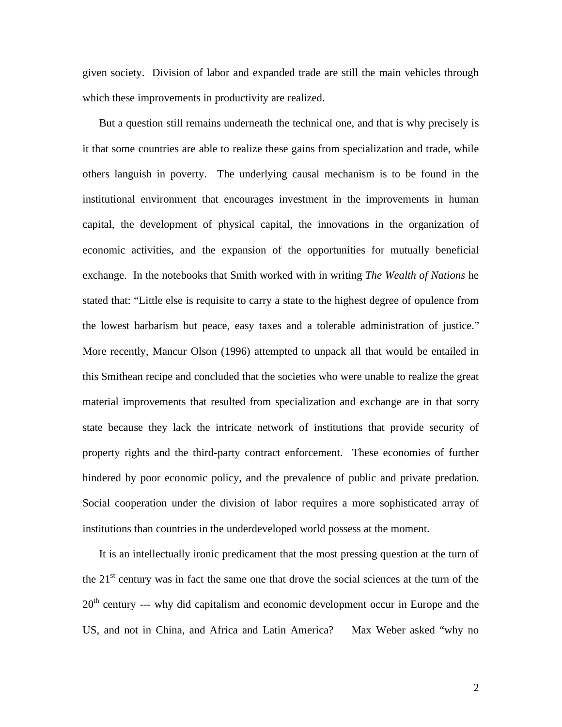given society. Division of labor and expanded trade are still the main vehicles through which these improvements in productivity are realized.

But a question still remains underneath the technical one, and that is why precisely is it that some countries are able to realize these gains from specialization and trade, while others languish in poverty. The underlying causal mechanism is to be found in the institutional environment that encourages investment in the improvements in human capital, the development of physical capital, the innovations in the organization of economic activities, and the expansion of the opportunities for mutually beneficial exchange. In the notebooks that Smith worked with in writing *The Wealth of Nations* he stated that: "Little else is requisite to carry a state to the highest degree of opulence from the lowest barbarism but peace, easy taxes and a tolerable administration of justice." More recently, Mancur Olson (1996) attempted to unpack all that would be entailed in this Smithean recipe and concluded that the societies who were unable to realize the great material improvements that resulted from specialization and exchange are in that sorry state because they lack the intricate network of institutions that provide security of property rights and the third-party contract enforcement. These economies of further hindered by poor economic policy, and the prevalence of public and private predation. Social cooperation under the division of labor requires a more sophisticated array of institutions than countries in the underdeveloped world possess at the moment.

It is an intellectually ironic predicament that the most pressing question at the turn of the  $21<sup>st</sup>$  century was in fact the same one that drove the social sciences at the turn of the 20<sup>th</sup> century --- why did capitalism and economic development occur in Europe and the US, and not in China, and Africa and Latin America? Max Weber asked "why no

2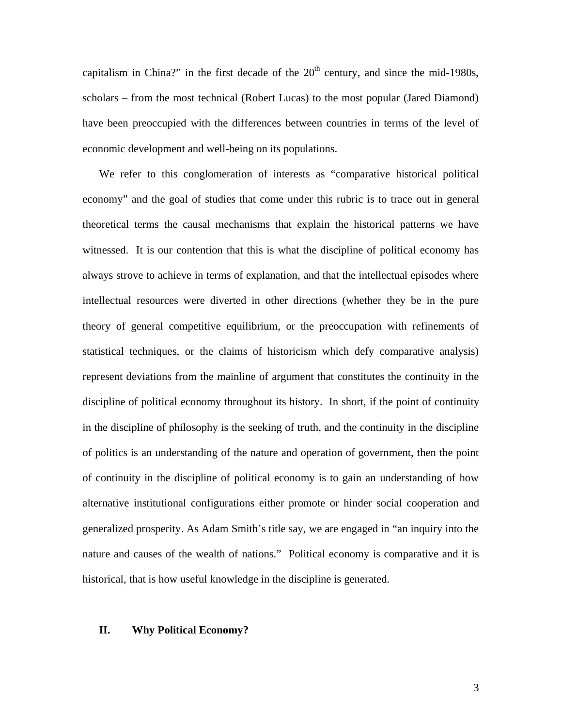capitalism in China?" in the first decade of the  $20<sup>th</sup>$  century, and since the mid-1980s, scholars – from the most technical (Robert Lucas) to the most popular (Jared Diamond) have been preoccupied with the differences between countries in terms of the level of economic development and well-being on its populations.

We refer to this conglomeration of interests as "comparative historical political economy" and the goal of studies that come under this rubric is to trace out in general theoretical terms the causal mechanisms that explain the historical patterns we have witnessed. It is our contention that this is what the discipline of political economy has always strove to achieve in terms of explanation, and that the intellectual episodes where intellectual resources were diverted in other directions (whether they be in the pure theory of general competitive equilibrium, or the preoccupation with refinements of statistical techniques, or the claims of historicism which defy comparative analysis) represent deviations from the mainline of argument that constitutes the continuity in the discipline of political economy throughout its history. In short, if the point of continuity in the discipline of philosophy is the seeking of truth, and the continuity in the discipline of politics is an understanding of the nature and operation of government, then the point of continuity in the discipline of political economy is to gain an understanding of how alternative institutional configurations either promote or hinder social cooperation and generalized prosperity. As Adam Smith's title say, we are engaged in "an inquiry into the nature and causes of the wealth of nations." Political economy is comparative and it is historical, that is how useful knowledge in the discipline is generated.

#### **II. Why Political Economy?**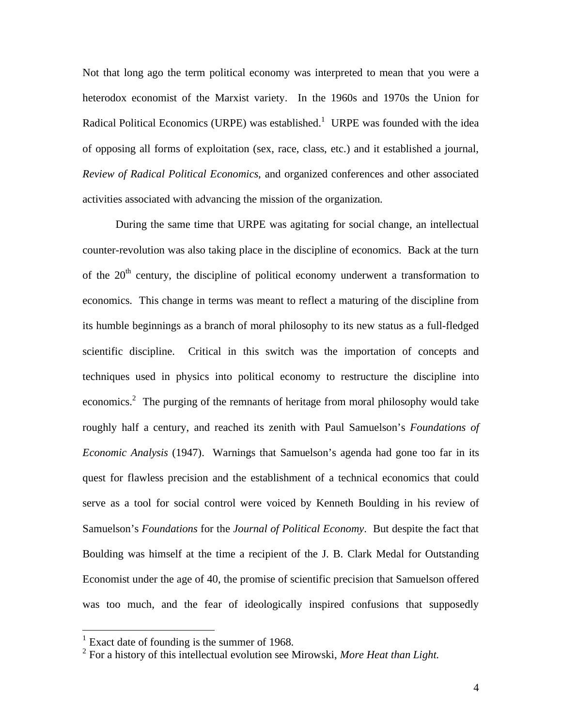Not that long ago the term political economy was interpreted to mean that you were a heterodox economist of the Marxist variety. In the 1960s and 1970s the Union for Radical Political Economics (URPE) was established.<sup>1</sup> URPE was founded with the idea of opposing all forms of exploitation (sex, race, class, etc.) and it established a journal, *Review of Radical Political Economics*, and organized conferences and other associated activities associated with advancing the mission of the organization.

 During the same time that URPE was agitating for social change, an intellectual counter-revolution was also taking place in the discipline of economics. Back at the turn of the  $20<sup>th</sup>$  century, the discipline of political economy underwent a transformation to economics. This change in terms was meant to reflect a maturing of the discipline from its humble beginnings as a branch of moral philosophy to its new status as a full-fledged scientific discipline. Critical in this switch was the importation of concepts and techniques used in physics into political economy to restructure the discipline into economics.<sup>2</sup> The purging of the remnants of heritage from moral philosophy would take roughly half a century, and reached its zenith with Paul Samuelson's *Foundations of Economic Analysis* (1947). Warnings that Samuelson's agenda had gone too far in its quest for flawless precision and the establishment of a technical economics that could serve as a tool for social control were voiced by Kenneth Boulding in his review of Samuelson's *Foundations* for the *Journal of Political Economy*. But despite the fact that Boulding was himself at the time a recipient of the J. B. Clark Medal for Outstanding Economist under the age of 40, the promise of scientific precision that Samuelson offered was too much, and the fear of ideologically inspired confusions that supposedly

<sup>&</sup>lt;sup>1</sup> Exact date of founding is the summer of 1968.

<sup>2</sup> For a history of this intellectual evolution see Mirowski, *More Heat than Light*.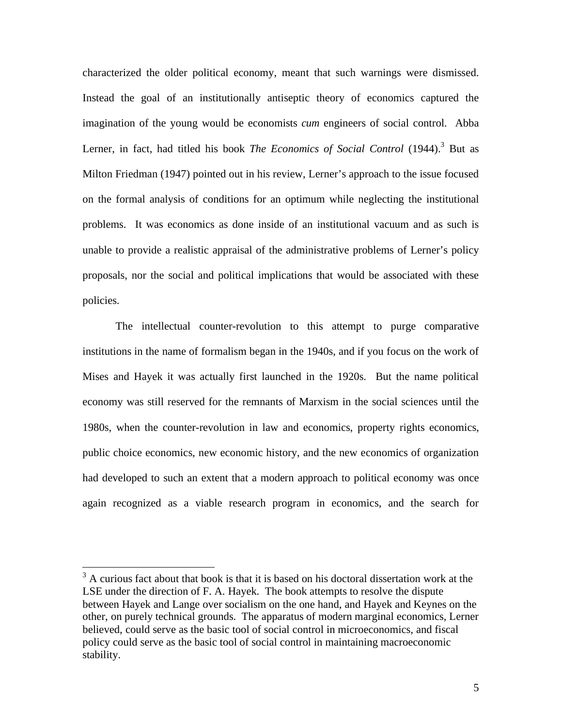characterized the older political economy, meant that such warnings were dismissed. Instead the goal of an institutionally antiseptic theory of economics captured the imagination of the young would be economists *cum* engineers of social control. Abba Lerner, in fact, had titled his book *The Economics of Social Control* (1944).<sup>3</sup> But as Milton Friedman (1947) pointed out in his review, Lerner's approach to the issue focused on the formal analysis of conditions for an optimum while neglecting the institutional problems. It was economics as done inside of an institutional vacuum and as such is unable to provide a realistic appraisal of the administrative problems of Lerner's policy proposals, nor the social and political implications that would be associated with these policies.

 The intellectual counter-revolution to this attempt to purge comparative institutions in the name of formalism began in the 1940s, and if you focus on the work of Mises and Hayek it was actually first launched in the 1920s. But the name political economy was still reserved for the remnants of Marxism in the social sciences until the 1980s, when the counter-revolution in law and economics, property rights economics, public choice economics, new economic history, and the new economics of organization had developed to such an extent that a modern approach to political economy was once again recognized as a viable research program in economics, and the search for

<u>.</u>

 $3$  A curious fact about that book is that it is based on his doctoral dissertation work at the LSE under the direction of F. A. Hayek. The book attempts to resolve the dispute between Hayek and Lange over socialism on the one hand, and Hayek and Keynes on the other, on purely technical grounds. The apparatus of modern marginal economics, Lerner believed, could serve as the basic tool of social control in microeconomics, and fiscal policy could serve as the basic tool of social control in maintaining macroeconomic stability.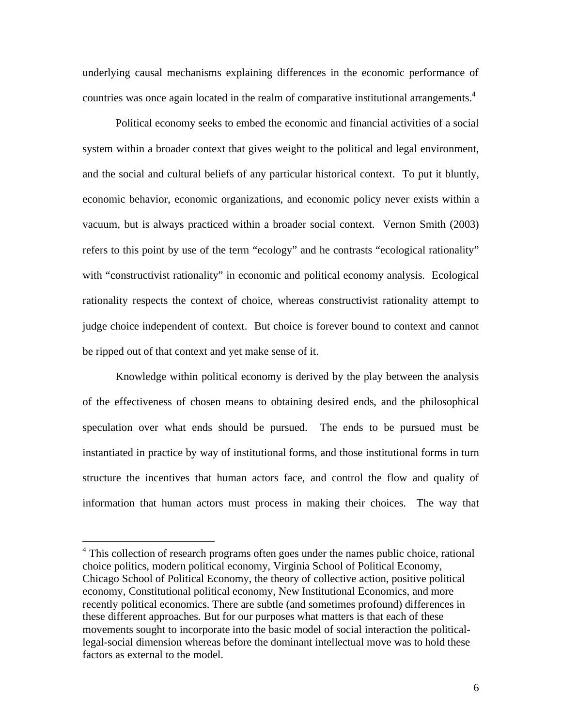underlying causal mechanisms explaining differences in the economic performance of countries was once again located in the realm of comparative institutional arrangements.<sup>4</sup>

 Political economy seeks to embed the economic and financial activities of a social system within a broader context that gives weight to the political and legal environment, and the social and cultural beliefs of any particular historical context. To put it bluntly, economic behavior, economic organizations, and economic policy never exists within a vacuum, but is always practiced within a broader social context. Vernon Smith (2003) refers to this point by use of the term "ecology" and he contrasts "ecological rationality" with "constructivist rationality" in economic and political economy analysis. Ecological rationality respects the context of choice, whereas constructivist rationality attempt to judge choice independent of context. But choice is forever bound to context and cannot be ripped out of that context and yet make sense of it.

 Knowledge within political economy is derived by the play between the analysis of the effectiveness of chosen means to obtaining desired ends, and the philosophical speculation over what ends should be pursued. The ends to be pursued must be instantiated in practice by way of institutional forms, and those institutional forms in turn structure the incentives that human actors face, and control the flow and quality of information that human actors must process in making their choices. The way that

1

<sup>&</sup>lt;sup>4</sup> This collection of research programs often goes under the names public choice, rational choice politics, modern political economy, Virginia School of Political Economy, Chicago School of Political Economy, the theory of collective action, positive political economy, Constitutional political economy, New Institutional Economics, and more recently political economics. There are subtle (and sometimes profound) differences in these different approaches. But for our purposes what matters is that each of these movements sought to incorporate into the basic model of social interaction the politicallegal-social dimension whereas before the dominant intellectual move was to hold these factors as external to the model.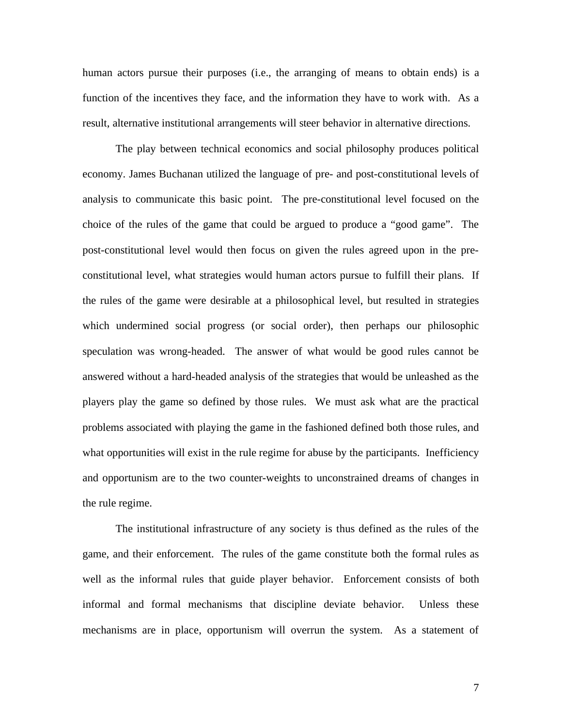human actors pursue their purposes (i.e., the arranging of means to obtain ends) is a function of the incentives they face, and the information they have to work with. As a result, alternative institutional arrangements will steer behavior in alternative directions.

 The play between technical economics and social philosophy produces political economy. James Buchanan utilized the language of pre- and post-constitutional levels of analysis to communicate this basic point. The pre-constitutional level focused on the choice of the rules of the game that could be argued to produce a "good game". The post-constitutional level would then focus on given the rules agreed upon in the preconstitutional level, what strategies would human actors pursue to fulfill their plans. If the rules of the game were desirable at a philosophical level, but resulted in strategies which undermined social progress (or social order), then perhaps our philosophic speculation was wrong-headed. The answer of what would be good rules cannot be answered without a hard-headed analysis of the strategies that would be unleashed as the players play the game so defined by those rules. We must ask what are the practical problems associated with playing the game in the fashioned defined both those rules, and what opportunities will exist in the rule regime for abuse by the participants. Inefficiency and opportunism are to the two counter-weights to unconstrained dreams of changes in the rule regime.

 The institutional infrastructure of any society is thus defined as the rules of the game, and their enforcement. The rules of the game constitute both the formal rules as well as the informal rules that guide player behavior. Enforcement consists of both informal and formal mechanisms that discipline deviate behavior. Unless these mechanisms are in place, opportunism will overrun the system. As a statement of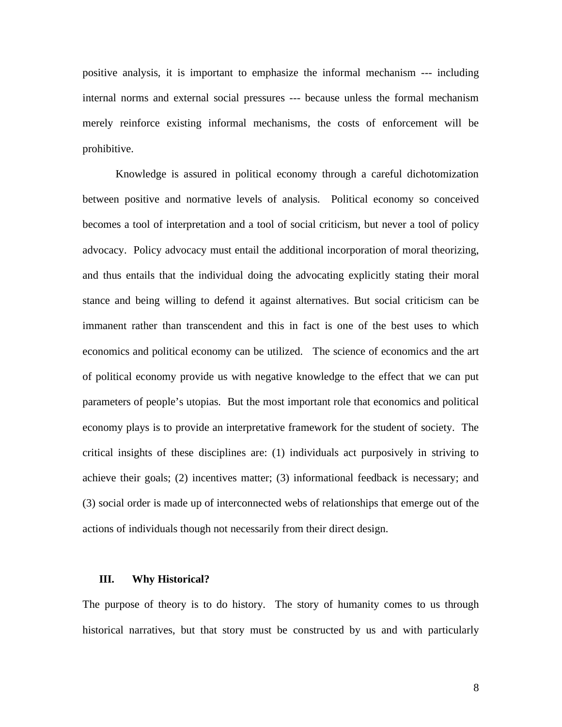positive analysis, it is important to emphasize the informal mechanism --- including internal norms and external social pressures --- because unless the formal mechanism merely reinforce existing informal mechanisms, the costs of enforcement will be prohibitive.

 Knowledge is assured in political economy through a careful dichotomization between positive and normative levels of analysis. Political economy so conceived becomes a tool of interpretation and a tool of social criticism, but never a tool of policy advocacy. Policy advocacy must entail the additional incorporation of moral theorizing, and thus entails that the individual doing the advocating explicitly stating their moral stance and being willing to defend it against alternatives. But social criticism can be immanent rather than transcendent and this in fact is one of the best uses to which economics and political economy can be utilized. The science of economics and the art of political economy provide us with negative knowledge to the effect that we can put parameters of people's utopias. But the most important role that economics and political economy plays is to provide an interpretative framework for the student of society. The critical insights of these disciplines are: (1) individuals act purposively in striving to achieve their goals; (2) incentives matter; (3) informational feedback is necessary; and (3) social order is made up of interconnected webs of relationships that emerge out of the actions of individuals though not necessarily from their direct design.

#### **III. Why Historical?**

The purpose of theory is to do history. The story of humanity comes to us through historical narratives, but that story must be constructed by us and with particularly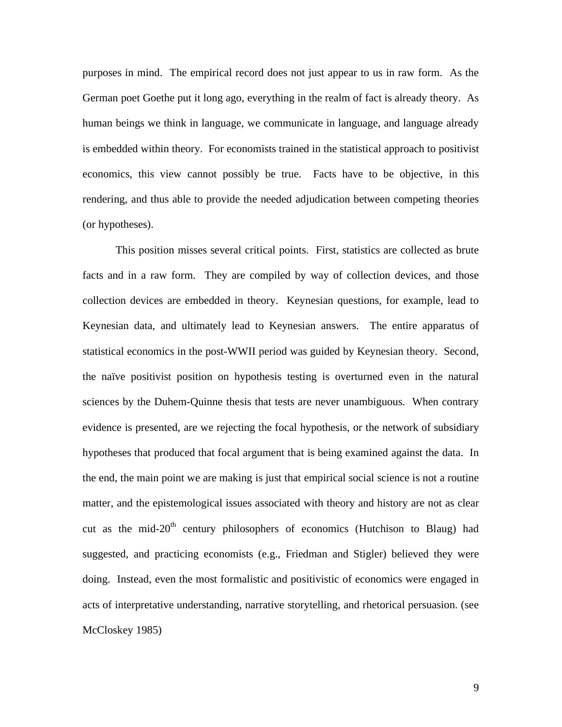purposes in mind. The empirical record does not just appear to us in raw form. As the German poet Goethe put it long ago, everything in the realm of fact is already theory. As human beings we think in language, we communicate in language, and language already is embedded within theory. For economists trained in the statistical approach to positivist economics, this view cannot possibly be true. Facts have to be objective, in this rendering, and thus able to provide the needed adjudication between competing theories (or hypotheses).

 This position misses several critical points. First, statistics are collected as brute facts and in a raw form. They are compiled by way of collection devices, and those collection devices are embedded in theory. Keynesian questions, for example, lead to Keynesian data, and ultimately lead to Keynesian answers. The entire apparatus of statistical economics in the post-WWII period was guided by Keynesian theory. Second, the naïve positivist position on hypothesis testing is overturned even in the natural sciences by the Duhem-Quinne thesis that tests are never unambiguous. When contrary evidence is presented, are we rejecting the focal hypothesis, or the network of subsidiary hypotheses that produced that focal argument that is being examined against the data. In the end, the main point we are making is just that empirical social science is not a routine matter, and the epistemological issues associated with theory and history are not as clear cut as the mid- $20<sup>th</sup>$  century philosophers of economics (Hutchison to Blaug) had suggested, and practicing economists (e.g., Friedman and Stigler) believed they were doing. Instead, even the most formalistic and positivistic of economics were engaged in acts of interpretative understanding, narrative storytelling, and rhetorical persuasion. (see McCloskey 1985)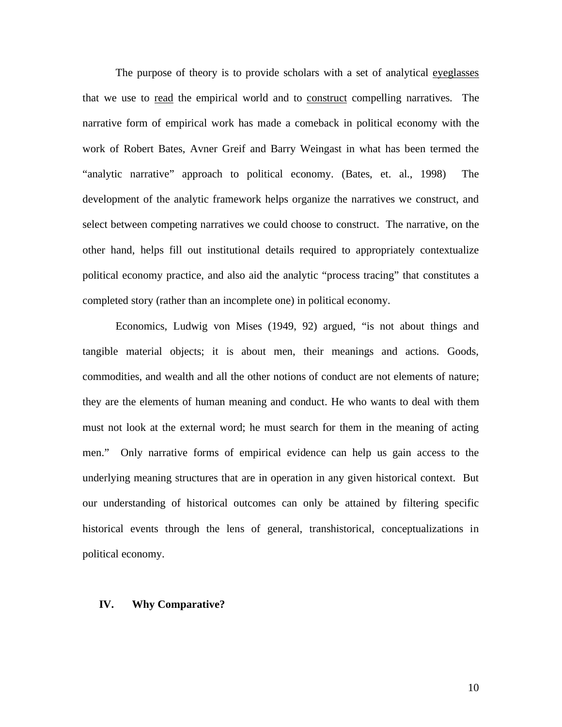The purpose of theory is to provide scholars with a set of analytical everylasses that we use to read the empirical world and to construct compelling narratives. The narrative form of empirical work has made a comeback in political economy with the work of Robert Bates, Avner Greif and Barry Weingast in what has been termed the "analytic narrative" approach to political economy. (Bates, et. al., 1998) The development of the analytic framework helps organize the narratives we construct, and select between competing narratives we could choose to construct. The narrative, on the other hand, helps fill out institutional details required to appropriately contextualize political economy practice, and also aid the analytic "process tracing" that constitutes a completed story (rather than an incomplete one) in political economy.

 Economics, Ludwig von Mises (1949, 92) argued, "is not about things and tangible material objects; it is about men, their meanings and actions. Goods, commodities, and wealth and all the other notions of conduct are not elements of nature; they are the elements of human meaning and conduct. He who wants to deal with them must not look at the external word; he must search for them in the meaning of acting men." Only narrative forms of empirical evidence can help us gain access to the underlying meaning structures that are in operation in any given historical context. But our understanding of historical outcomes can only be attained by filtering specific historical events through the lens of general, transhistorical, conceptualizations in political economy.

#### **IV. Why Comparative?**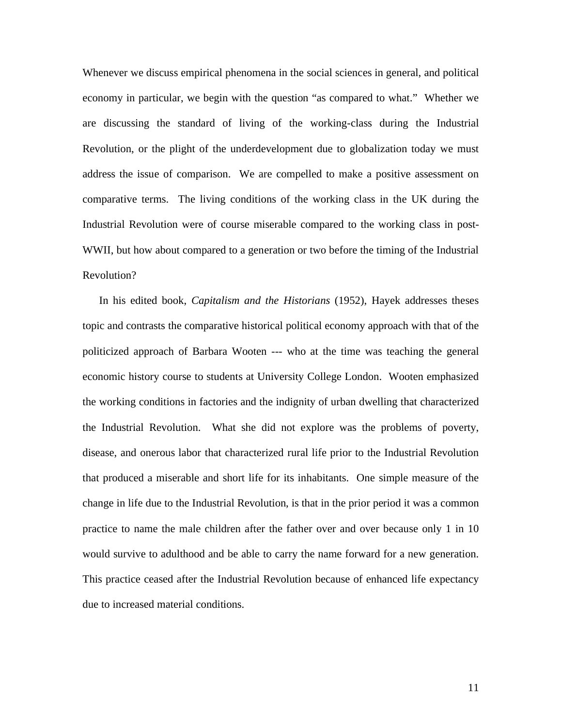Whenever we discuss empirical phenomena in the social sciences in general, and political economy in particular, we begin with the question "as compared to what." Whether we are discussing the standard of living of the working-class during the Industrial Revolution, or the plight of the underdevelopment due to globalization today we must address the issue of comparison. We are compelled to make a positive assessment on comparative terms. The living conditions of the working class in the UK during the Industrial Revolution were of course miserable compared to the working class in post-WWII, but how about compared to a generation or two before the timing of the Industrial Revolution?

In his edited book, *Capitalism and the Historians* (1952), Hayek addresses theses topic and contrasts the comparative historical political economy approach with that of the politicized approach of Barbara Wooten --- who at the time was teaching the general economic history course to students at University College London. Wooten emphasized the working conditions in factories and the indignity of urban dwelling that characterized the Industrial Revolution. What she did not explore was the problems of poverty, disease, and onerous labor that characterized rural life prior to the Industrial Revolution that produced a miserable and short life for its inhabitants. One simple measure of the change in life due to the Industrial Revolution, is that in the prior period it was a common practice to name the male children after the father over and over because only 1 in 10 would survive to adulthood and be able to carry the name forward for a new generation. This practice ceased after the Industrial Revolution because of enhanced life expectancy due to increased material conditions.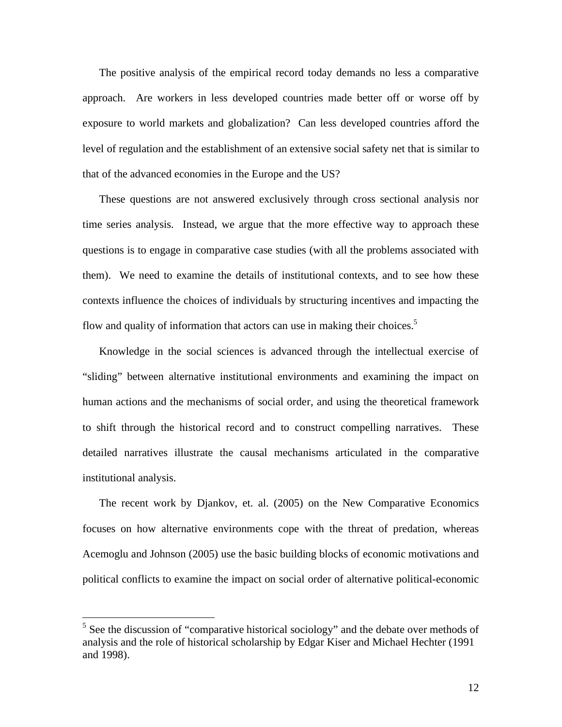The positive analysis of the empirical record today demands no less a comparative approach. Are workers in less developed countries made better off or worse off by exposure to world markets and globalization? Can less developed countries afford the level of regulation and the establishment of an extensive social safety net that is similar to that of the advanced economies in the Europe and the US?

These questions are not answered exclusively through cross sectional analysis nor time series analysis. Instead, we argue that the more effective way to approach these questions is to engage in comparative case studies (with all the problems associated with them). We need to examine the details of institutional contexts, and to see how these contexts influence the choices of individuals by structuring incentives and impacting the flow and quality of information that actors can use in making their choices.<sup>5</sup>

Knowledge in the social sciences is advanced through the intellectual exercise of "sliding" between alternative institutional environments and examining the impact on human actions and the mechanisms of social order, and using the theoretical framework to shift through the historical record and to construct compelling narratives. These detailed narratives illustrate the causal mechanisms articulated in the comparative institutional analysis.

The recent work by Djankov, et. al. (2005) on the New Comparative Economics focuses on how alternative environments cope with the threat of predation, whereas Acemoglu and Johnson (2005) use the basic building blocks of economic motivations and political conflicts to examine the impact on social order of alternative political-economic

 $\overline{a}$ 

<sup>&</sup>lt;sup>5</sup> See the discussion of "comparative historical sociology" and the debate over methods of analysis and the role of historical scholarship by Edgar Kiser and Michael Hechter (1991 and 1998).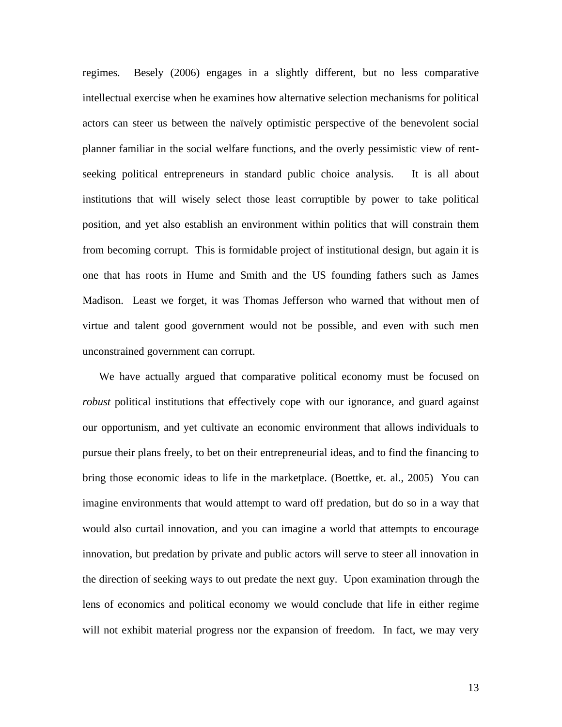regimes. Besely (2006) engages in a slightly different, but no less comparative intellectual exercise when he examines how alternative selection mechanisms for political actors can steer us between the naïvely optimistic perspective of the benevolent social planner familiar in the social welfare functions, and the overly pessimistic view of rentseeking political entrepreneurs in standard public choice analysis. It is all about institutions that will wisely select those least corruptible by power to take political position, and yet also establish an environment within politics that will constrain them from becoming corrupt. This is formidable project of institutional design, but again it is one that has roots in Hume and Smith and the US founding fathers such as James Madison. Least we forget, it was Thomas Jefferson who warned that without men of virtue and talent good government would not be possible, and even with such men unconstrained government can corrupt.

We have actually argued that comparative political economy must be focused on *robust* political institutions that effectively cope with our ignorance, and guard against our opportunism, and yet cultivate an economic environment that allows individuals to pursue their plans freely, to bet on their entrepreneurial ideas, and to find the financing to bring those economic ideas to life in the marketplace. (Boettke, et. al., 2005) You can imagine environments that would attempt to ward off predation, but do so in a way that would also curtail innovation, and you can imagine a world that attempts to encourage innovation, but predation by private and public actors will serve to steer all innovation in the direction of seeking ways to out predate the next guy. Upon examination through the lens of economics and political economy we would conclude that life in either regime will not exhibit material progress nor the expansion of freedom. In fact, we may very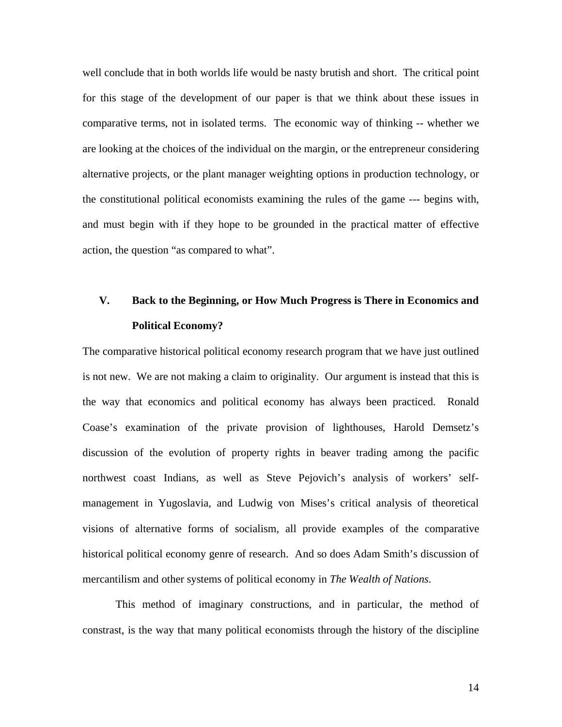well conclude that in both worlds life would be nasty brutish and short. The critical point for this stage of the development of our paper is that we think about these issues in comparative terms, not in isolated terms. The economic way of thinking -- whether we are looking at the choices of the individual on the margin, or the entrepreneur considering alternative projects, or the plant manager weighting options in production technology, or the constitutional political economists examining the rules of the game --- begins with, and must begin with if they hope to be grounded in the practical matter of effective action, the question "as compared to what".

# **V. Back to the Beginning, or How Much Progress is There in Economics and Political Economy?**

The comparative historical political economy research program that we have just outlined is not new. We are not making a claim to originality. Our argument is instead that this is the way that economics and political economy has always been practiced. Ronald Coase's examination of the private provision of lighthouses, Harold Demsetz's discussion of the evolution of property rights in beaver trading among the pacific northwest coast Indians, as well as Steve Pejovich's analysis of workers' selfmanagement in Yugoslavia, and Ludwig von Mises's critical analysis of theoretical visions of alternative forms of socialism, all provide examples of the comparative historical political economy genre of research. And so does Adam Smith's discussion of mercantilism and other systems of political economy in *The Wealth of Nations*.

 This method of imaginary constructions, and in particular, the method of constrast, is the way that many political economists through the history of the discipline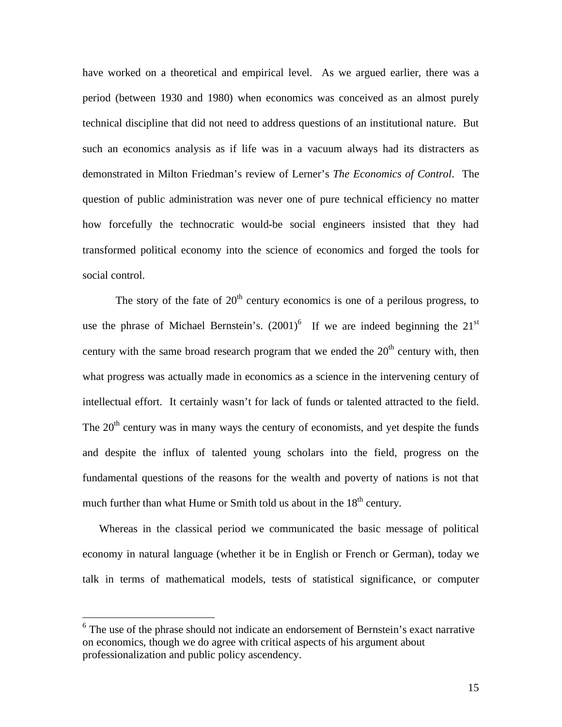have worked on a theoretical and empirical level. As we argued earlier, there was a period (between 1930 and 1980) when economics was conceived as an almost purely technical discipline that did not need to address questions of an institutional nature. But such an economics analysis as if life was in a vacuum always had its distracters as demonstrated in Milton Friedman's review of Lerner's *The Economics of Control*. The question of public administration was never one of pure technical efficiency no matter how forcefully the technocratic would-be social engineers insisted that they had transformed political economy into the science of economics and forged the tools for social control.

The story of the fate of  $20<sup>th</sup>$  century economics is one of a perilous progress, to use the phrase of Michael Bernstein's.  $(2001)^6$  If we are indeed beginning the  $21<sup>st</sup>$ century with the same broad research program that we ended the  $20<sup>th</sup>$  century with, then what progress was actually made in economics as a science in the intervening century of intellectual effort. It certainly wasn't for lack of funds or talented attracted to the field. The  $20<sup>th</sup>$  century was in many ways the century of economists, and yet despite the funds and despite the influx of talented young scholars into the field, progress on the fundamental questions of the reasons for the wealth and poverty of nations is not that much further than what Hume or Smith told us about in the  $18<sup>th</sup>$  century.

Whereas in the classical period we communicated the basic message of political economy in natural language (whether it be in English or French or German), today we talk in terms of mathematical models, tests of statistical significance, or computer

 $\overline{a}$ 

<sup>&</sup>lt;sup>6</sup> The use of the phrase should not indicate an endorsement of Bernstein's exact narrative on economics, though we do agree with critical aspects of his argument about professionalization and public policy ascendency.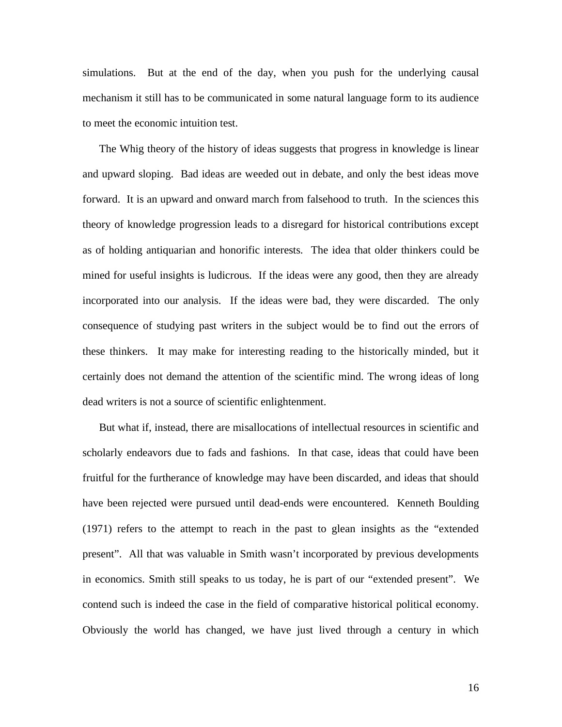simulations. But at the end of the day, when you push for the underlying causal mechanism it still has to be communicated in some natural language form to its audience to meet the economic intuition test.

The Whig theory of the history of ideas suggests that progress in knowledge is linear and upward sloping. Bad ideas are weeded out in debate, and only the best ideas move forward. It is an upward and onward march from falsehood to truth. In the sciences this theory of knowledge progression leads to a disregard for historical contributions except as of holding antiquarian and honorific interests. The idea that older thinkers could be mined for useful insights is ludicrous. If the ideas were any good, then they are already incorporated into our analysis. If the ideas were bad, they were discarded. The only consequence of studying past writers in the subject would be to find out the errors of these thinkers. It may make for interesting reading to the historically minded, but it certainly does not demand the attention of the scientific mind. The wrong ideas of long dead writers is not a source of scientific enlightenment.

But what if, instead, there are misallocations of intellectual resources in scientific and scholarly endeavors due to fads and fashions. In that case, ideas that could have been fruitful for the furtherance of knowledge may have been discarded, and ideas that should have been rejected were pursued until dead-ends were encountered. Kenneth Boulding (1971) refers to the attempt to reach in the past to glean insights as the "extended present". All that was valuable in Smith wasn't incorporated by previous developments in economics. Smith still speaks to us today, he is part of our "extended present". We contend such is indeed the case in the field of comparative historical political economy. Obviously the world has changed, we have just lived through a century in which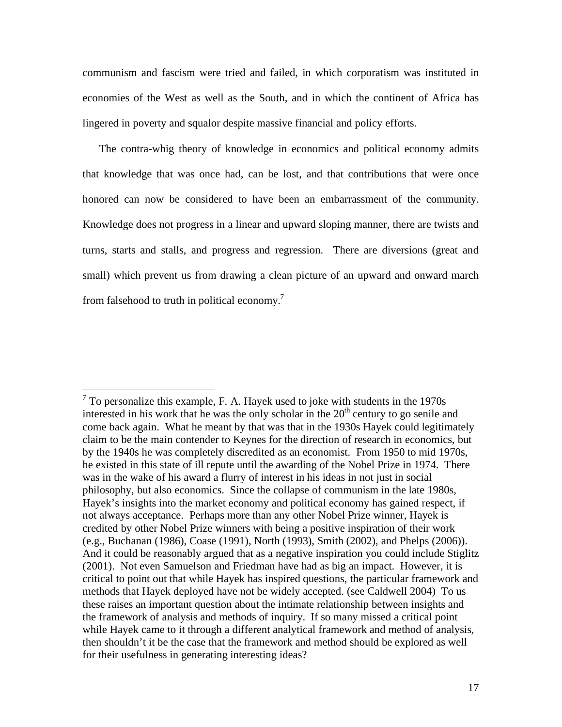communism and fascism were tried and failed, in which corporatism was instituted in economies of the West as well as the South, and in which the continent of Africa has lingered in poverty and squalor despite massive financial and policy efforts.

The contra-whig theory of knowledge in economics and political economy admits that knowledge that was once had, can be lost, and that contributions that were once honored can now be considered to have been an embarrassment of the community. Knowledge does not progress in a linear and upward sloping manner, there are twists and turns, starts and stalls, and progress and regression. There are diversions (great and small) which prevent us from drawing a clean picture of an upward and onward march from falsehood to truth in political economy.<sup>7</sup>

<sup>&</sup>lt;sup>7</sup> To personalize this example, F. A. Hayek used to joke with students in the 1970s interested in his work that he was the only scholar in the  $20<sup>th</sup>$  century to go senile and come back again. What he meant by that was that in the 1930s Hayek could legitimately claim to be the main contender to Keynes for the direction of research in economics, but by the 1940s he was completely discredited as an economist. From 1950 to mid 1970s, he existed in this state of ill repute until the awarding of the Nobel Prize in 1974. There was in the wake of his award a flurry of interest in his ideas in not just in social philosophy, but also economics. Since the collapse of communism in the late 1980s, Hayek's insights into the market economy and political economy has gained respect, if not always acceptance. Perhaps more than any other Nobel Prize winner, Hayek is credited by other Nobel Prize winners with being a positive inspiration of their work (e.g., Buchanan (1986), Coase (1991), North (1993), Smith (2002), and Phelps (2006)). And it could be reasonably argued that as a negative inspiration you could include Stiglitz (2001). Not even Samuelson and Friedman have had as big an impact. However, it is critical to point out that while Hayek has inspired questions, the particular framework and methods that Hayek deployed have not be widely accepted. (see Caldwell 2004) To us these raises an important question about the intimate relationship between insights and the framework of analysis and methods of inquiry. If so many missed a critical point while Hayek came to it through a different analytical framework and method of analysis, then shouldn't it be the case that the framework and method should be explored as well for their usefulness in generating interesting ideas?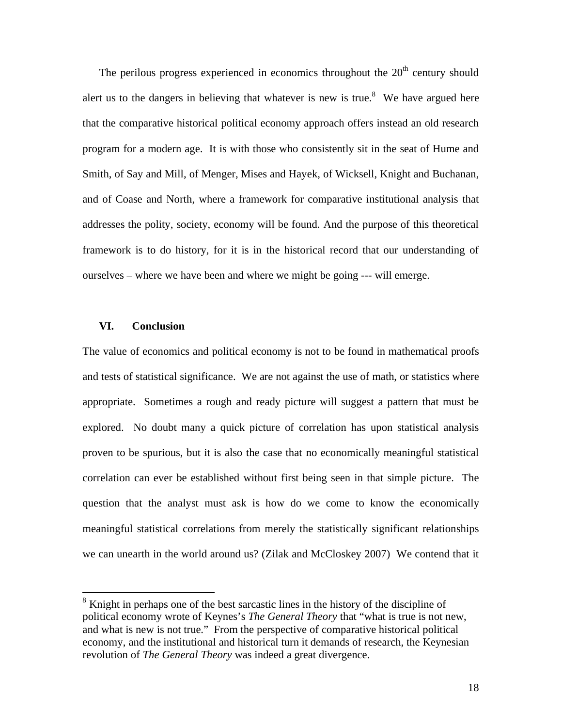The perilous progress experienced in economics throughout the  $20<sup>th</sup>$  century should alert us to the dangers in believing that whatever is new is true.<sup>8</sup> We have argued here that the comparative historical political economy approach offers instead an old research program for a modern age. It is with those who consistently sit in the seat of Hume and Smith, of Say and Mill, of Menger, Mises and Hayek, of Wicksell, Knight and Buchanan, and of Coase and North, where a framework for comparative institutional analysis that addresses the polity, society, economy will be found. And the purpose of this theoretical framework is to do history, for it is in the historical record that our understanding of ourselves – where we have been and where we might be going --- will emerge.

### **VI. Conclusion**

 $\overline{a}$ 

The value of economics and political economy is not to be found in mathematical proofs and tests of statistical significance. We are not against the use of math, or statistics where appropriate. Sometimes a rough and ready picture will suggest a pattern that must be explored. No doubt many a quick picture of correlation has upon statistical analysis proven to be spurious, but it is also the case that no economically meaningful statistical correlation can ever be established without first being seen in that simple picture. The question that the analyst must ask is how do we come to know the economically meaningful statistical correlations from merely the statistically significant relationships we can unearth in the world around us? (Zilak and McCloskey 2007) We contend that it

<sup>&</sup>lt;sup>8</sup> Knight in perhaps one of the best sarcastic lines in the history of the discipline of political economy wrote of Keynes's *The General Theory* that "what is true is not new, and what is new is not true." From the perspective of comparative historical political economy, and the institutional and historical turn it demands of research, the Keynesian revolution of *The General Theory* was indeed a great divergence.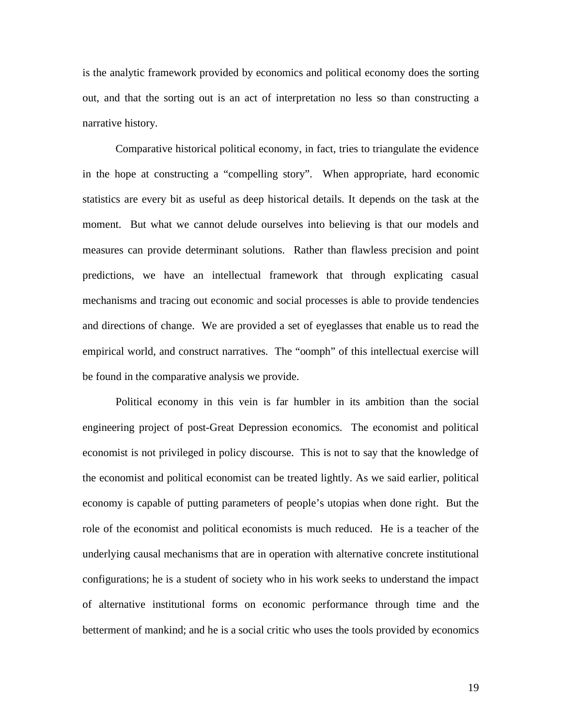is the analytic framework provided by economics and political economy does the sorting out, and that the sorting out is an act of interpretation no less so than constructing a narrative history.

 Comparative historical political economy, in fact, tries to triangulate the evidence in the hope at constructing a "compelling story". When appropriate, hard economic statistics are every bit as useful as deep historical details. It depends on the task at the moment. But what we cannot delude ourselves into believing is that our models and measures can provide determinant solutions. Rather than flawless precision and point predictions, we have an intellectual framework that through explicating casual mechanisms and tracing out economic and social processes is able to provide tendencies and directions of change. We are provided a set of eyeglasses that enable us to read the empirical world, and construct narratives. The "oomph" of this intellectual exercise will be found in the comparative analysis we provide.

 Political economy in this vein is far humbler in its ambition than the social engineering project of post-Great Depression economics. The economist and political economist is not privileged in policy discourse. This is not to say that the knowledge of the economist and political economist can be treated lightly. As we said earlier, political economy is capable of putting parameters of people's utopias when done right. But the role of the economist and political economists is much reduced. He is a teacher of the underlying causal mechanisms that are in operation with alternative concrete institutional configurations; he is a student of society who in his work seeks to understand the impact of alternative institutional forms on economic performance through time and the betterment of mankind; and he is a social critic who uses the tools provided by economics

19